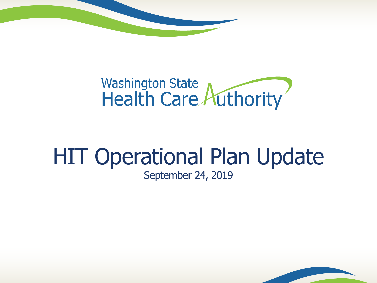

# Washington State<br>Health Care Authority

#### HIT Operational Plan Update September 24, 2019

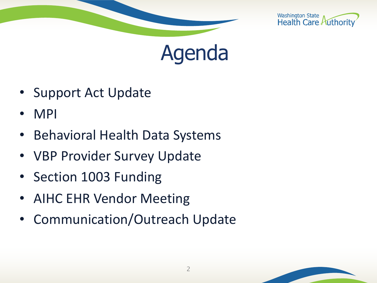





- Support Act Update
- MPI
- Behavioral Health Data Systems
- VBP Provider Survey Update
- Section 1003 Funding
- AIHC EHR Vendor Meeting
- Communication/Outreach Update

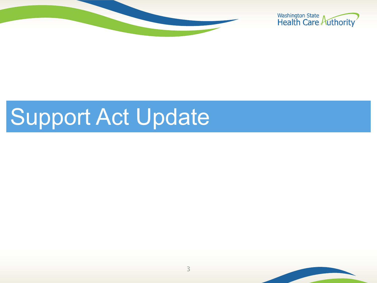



### Support Act Update

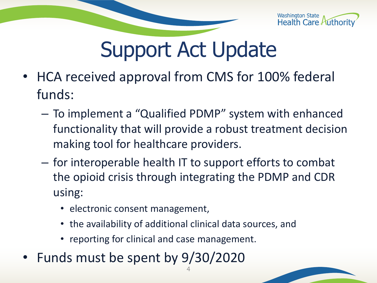

### Support Act Update

- HCA received approval from CMS for 100% federal funds:
	- To implement a "Qualified PDMP" system with enhanced functionality that will provide a robust treatment decision making tool for healthcare providers.
	- for interoperable health IT to support efforts to combat the opioid crisis through integrating the PDMP and CDR using:
		- electronic consent management,
		- the availability of additional clinical data sources, and

4

- reporting for clinical and case management.
- Funds must be spent by 9/30/2020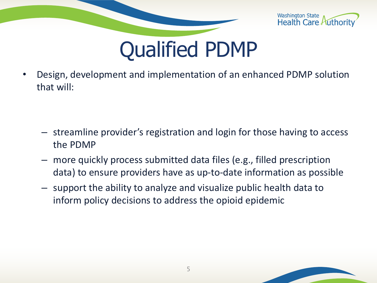



• Design, development and implementation of an enhanced PDMP solution that will:

- streamline provider's registration and login for those having to access the PDMP
- more quickly process submitted data files (e.g., filled prescription data) to ensure providers have as up-to-date information as possible
- support the ability to analyze and visualize public health data to inform policy decisions to address the opioid epidemic

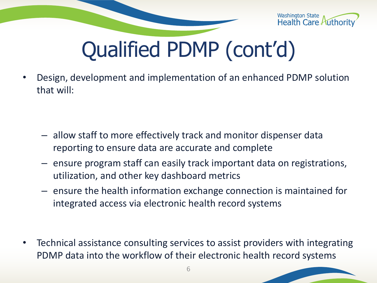

# Qualified PDMP (cont'd)

• Design, development and implementation of an enhanced PDMP solution that will:

- allow staff to more effectively track and monitor dispenser data reporting to ensure data are accurate and complete
- ensure program staff can easily track important data on registrations, utilization, and other key dashboard metrics
- ensure the health information exchange connection is maintained for integrated access via electronic health record systems

• Technical assistance consulting services to assist providers with integrating PDMP data into the workflow of their electronic health record systems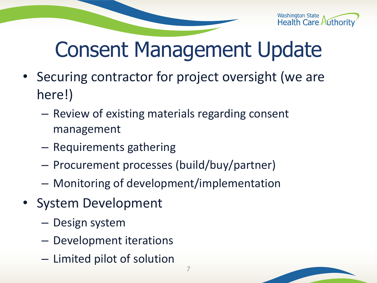

### Consent Management Update

- Securing contractor for project oversight (we are here!)
	- Review of existing materials regarding consent management
	- Requirements gathering
	- Procurement processes (build/buy/partner)
	- Monitoring of development/implementation
- System Development
	- Design system
	- Development iterations
	- Limited pilot of solution

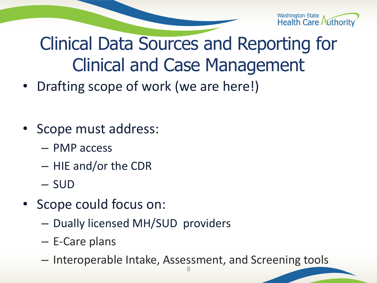

#### Clinical Data Sources and Reporting for Clinical and Case Management

- Drafting scope of work (we are here!)
- Scope must address:
	- PMP access
	- HIE and/or the CDR
	- SUD
- Scope could focus on:
	- Dually licensed MH/SUD providers
	- E-Care plans
	- Interoperable Intake, Assessment, and Screening tools 8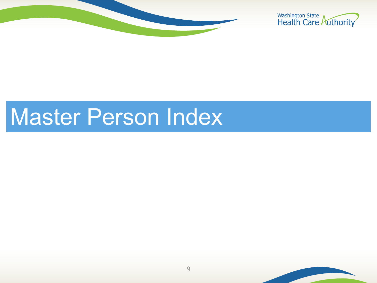



### Master Person Index

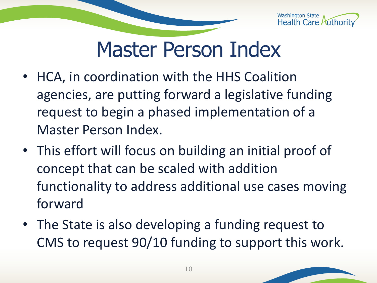

### Master Person Index

- HCA, in coordination with the HHS Coalition agencies, are putting forward a legislative funding request to begin a phased implementation of a Master Person Index.
- This effort will focus on building an initial proof of concept that can be scaled with addition functionality to address additional use cases moving forward
- The State is also developing a funding request to CMS to request 90/10 funding to support this work.

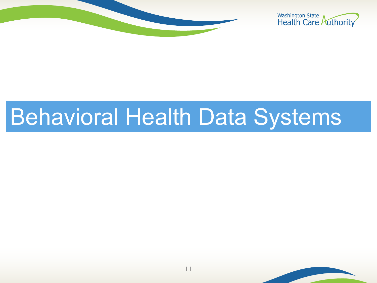



## Behavioral Health Data Systems

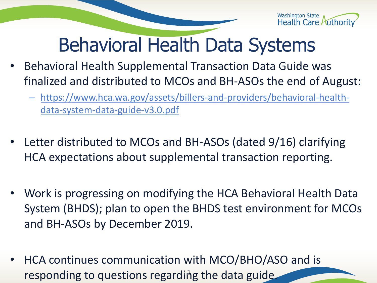

#### Behavioral Health Data Systems

- Behavioral Health Supplemental Transaction Data Guide was finalized and distributed to MCOs and BH-ASOs the end of August:
	- https://www.hca.wa.gov/assets/billers-and-providers/behavioral-healthdata-system-data-guide-v3.0.pdf
- Letter distributed to MCOs and BH-ASOs (dated 9/16) clarifying HCA expectations about supplemental transaction reporting.
- Work is progressing on modifying the HCA Behavioral Health Data System (BHDS); plan to open the BHDS test environment for MCOs and BH-ASOs by December 2019.
- HCA continues communication with MCO/BHO/ASO and is responding to questions regarding the data guide.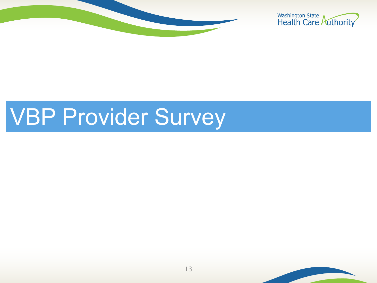



# VBP Provider Survey

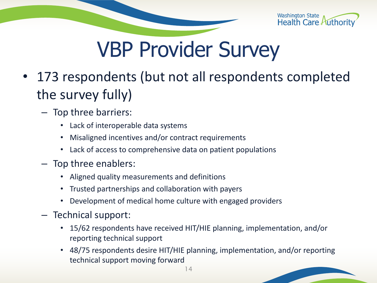

### VBP Provider Survey

- 173 respondents (but not all respondents completed the survey fully)
	- Top three barriers:
		- Lack of interoperable data systems
		- Misaligned incentives and/or contract requirements
		- Lack of access to comprehensive data on patient populations
	- Top three enablers:
		- Aligned quality measurements and definitions
		- Trusted partnerships and collaboration with payers
		- Development of medical home culture with engaged providers
	- Technical support:
		- 15/62 respondents have received HIT/HIE planning, implementation, and/or reporting technical support
		- 48/75 respondents desire HIT/HIE planning, implementation, and/or reporting technical support moving forward

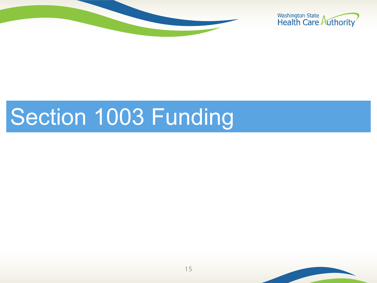



### Section 1003 Funding

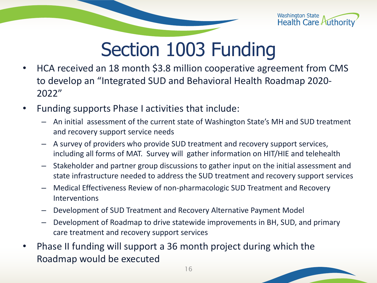

#### Section 1003 Funding

- HCA received an 18 month \$3.8 million cooperative agreement from CMS to develop an "Integrated SUD and Behavioral Health Roadmap 2020- 2022"
- Funding supports Phase I activities that include:
	- An initial assessment of the current state of Washington State's MH and SUD treatment and recovery support service needs
	- A survey of providers who provide SUD treatment and recovery support services, including all forms of MAT. Survey will gather information on HIT/HIE and telehealth
	- Stakeholder and partner group discussions to gather input on the initial assessment and state infrastructure needed to address the SUD treatment and recovery support services
	- Medical Effectiveness Review of non-pharmacologic SUD Treatment and Recovery **Interventions**
	- Development of SUD Treatment and Recovery Alternative Payment Model
	- Development of Roadmap to drive statewide improvements in BH, SUD, and primary care treatment and recovery support services
- Phase II funding will support a 36 month project during which the Roadmap would be executed

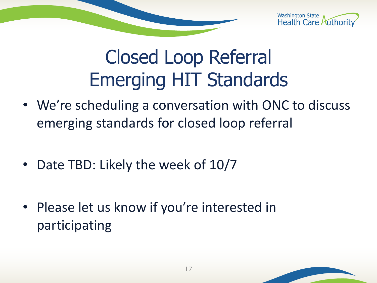

#### Closed Loop Referral Emerging HIT Standards

- We're scheduling a conversation with ONC to discuss emerging standards for closed loop referral
- Date TBD: Likely the week of 10/7
- Please let us know if you're interested in participating

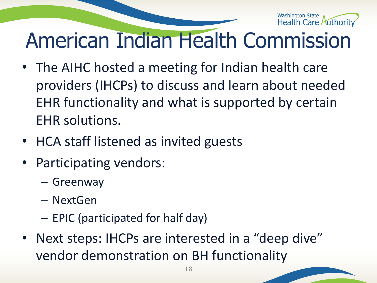

### American Indian Health Commission

- The AIHC hosted a meeting for Indian health care providers (IHCPs) to discuss and learn about needed EHR functionality and what is supported by certain EHR solutions.
- HCA staff listened as invited guests
- Participating vendors:
	- Greenway
	- NextGen
	- EPIC (participated for half day)
- Next steps: IHCPs are interested in a "deep dive" vendor demonstration on BH functionality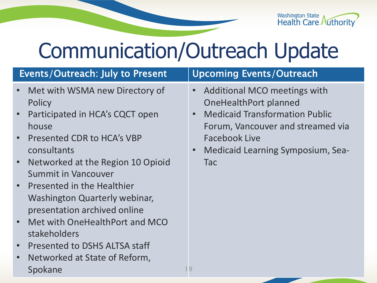Washington State<br>Health Care Authority

### Communication/Outreach Update

| Events/Outreach: July to Present                                                                                                                                                                                                                                                                                                  | <b>Upcoming Events/Outreach</b>                                                                                                                                                                                                                   |
|-----------------------------------------------------------------------------------------------------------------------------------------------------------------------------------------------------------------------------------------------------------------------------------------------------------------------------------|---------------------------------------------------------------------------------------------------------------------------------------------------------------------------------------------------------------------------------------------------|
| • Met with WSMA new Directory of<br>Policy<br>• Participated in HCA's CQCT open<br>house<br>• Presented CDR to HCA's VBP<br>consultants<br>Networked at the Region 10 Opioid<br>$\bullet$ .<br><b>Summit in Vancouver</b><br>• Presented in the Healthier<br><b>Washington Quarterly webinar,</b><br>presentation archived online | • Additional MCO meetings with<br>OneHealthPort planned<br><b>Medicaid Transformation Public</b><br>$\bullet$<br>Forum, Vancouver and streamed via<br><b>Facebook Live</b><br><b>Medicaid Learning Symposium, Sea-</b><br>$\bullet$<br><b>Tac</b> |

19

- Met with OneHealthPort and MCO stakeholders
- Presented to DSHS ALTSA staff
- Networked at State of Reform, Spokane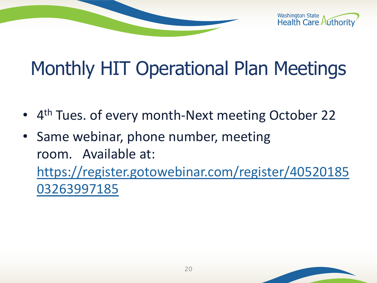Washington State<br>Health Care Authority

### Monthly HIT Operational Plan Meetings

- 4<sup>th</sup> Tues. of every month-Next meeting October 22
- Same webinar, phone number, meeting room. Available at: [https://register.gotowebinar.com/register/40520185](https://register.gotowebinar.com/register/4052018503263997185) 03263997185